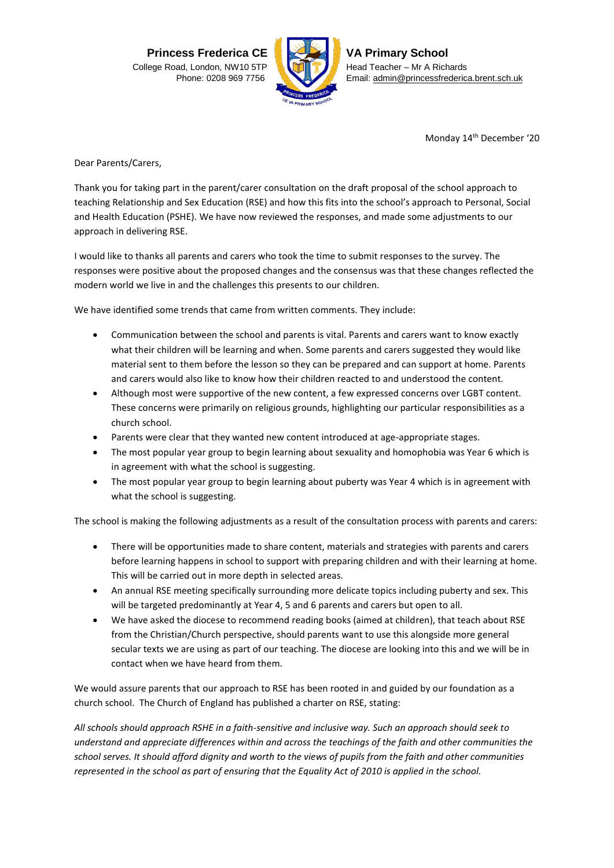**Princess Frederica CE** College Road, London, NW10 5TP Phone: 0208 969 7756



**VA Primary School** Head Teacher – Mr A Richards Email[: admin@princessfrederica.brent.sch.uk](mailto:admin@princessfrederica.brent.sch.uk)

Monday 14<sup>th</sup> December '20

Dear Parents/Carers,

Thank you for taking part in the parent/carer consultation on the draft proposal of the school approach to teaching Relationship and Sex Education (RSE) and how this fits into the school's approach to Personal, Social and Health Education (PSHE). We have now reviewed the responses, and made some adjustments to our approach in delivering RSE.

I would like to thanks all parents and carers who took the time to submit responses to the survey. The responses were positive about the proposed changes and the consensus was that these changes reflected the modern world we live in and the challenges this presents to our children.

We have identified some trends that came from written comments. They include:

- Communication between the school and parents is vital. Parents and carers want to know exactly what their children will be learning and when. Some parents and carers suggested they would like material sent to them before the lesson so they can be prepared and can support at home. Parents and carers would also like to know how their children reacted to and understood the content.
- Although most were supportive of the new content, a few expressed concerns over LGBT content. These concerns were primarily on religious grounds, highlighting our particular responsibilities as a church school.
- Parents were clear that they wanted new content introduced at age-appropriate stages.
- The most popular year group to begin learning about sexuality and homophobia was Year 6 which is in agreement with what the school is suggesting.
- The most popular year group to begin learning about puberty was Year 4 which is in agreement with what the school is suggesting.

The school is making the following adjustments as a result of the consultation process with parents and carers:

- There will be opportunities made to share content, materials and strategies with parents and carers before learning happens in school to support with preparing children and with their learning at home. This will be carried out in more depth in selected areas.
- An annual RSE meeting specifically surrounding more delicate topics including puberty and sex. This will be targeted predominantly at Year 4, 5 and 6 parents and carers but open to all.
- We have asked the diocese to recommend reading books (aimed at children), that teach about RSE from the Christian/Church perspective, should parents want to use this alongside more general secular texts we are using as part of our teaching. The diocese are looking into this and we will be in contact when we have heard from them.

We would assure parents that our approach to RSE has been rooted in and guided by our foundation as a church school. The Church of England has published a charter on RSE, stating:

*All schools should approach RSHE in a faith-sensitive and inclusive way. Such an approach should seek to understand and appreciate differences within and across the teachings of the faith and other communities the school serves. It should afford dignity and worth to the views of pupils from the faith and other communities represented in the school as part of ensuring that the Equality Act of 2010 is applied in the school.*